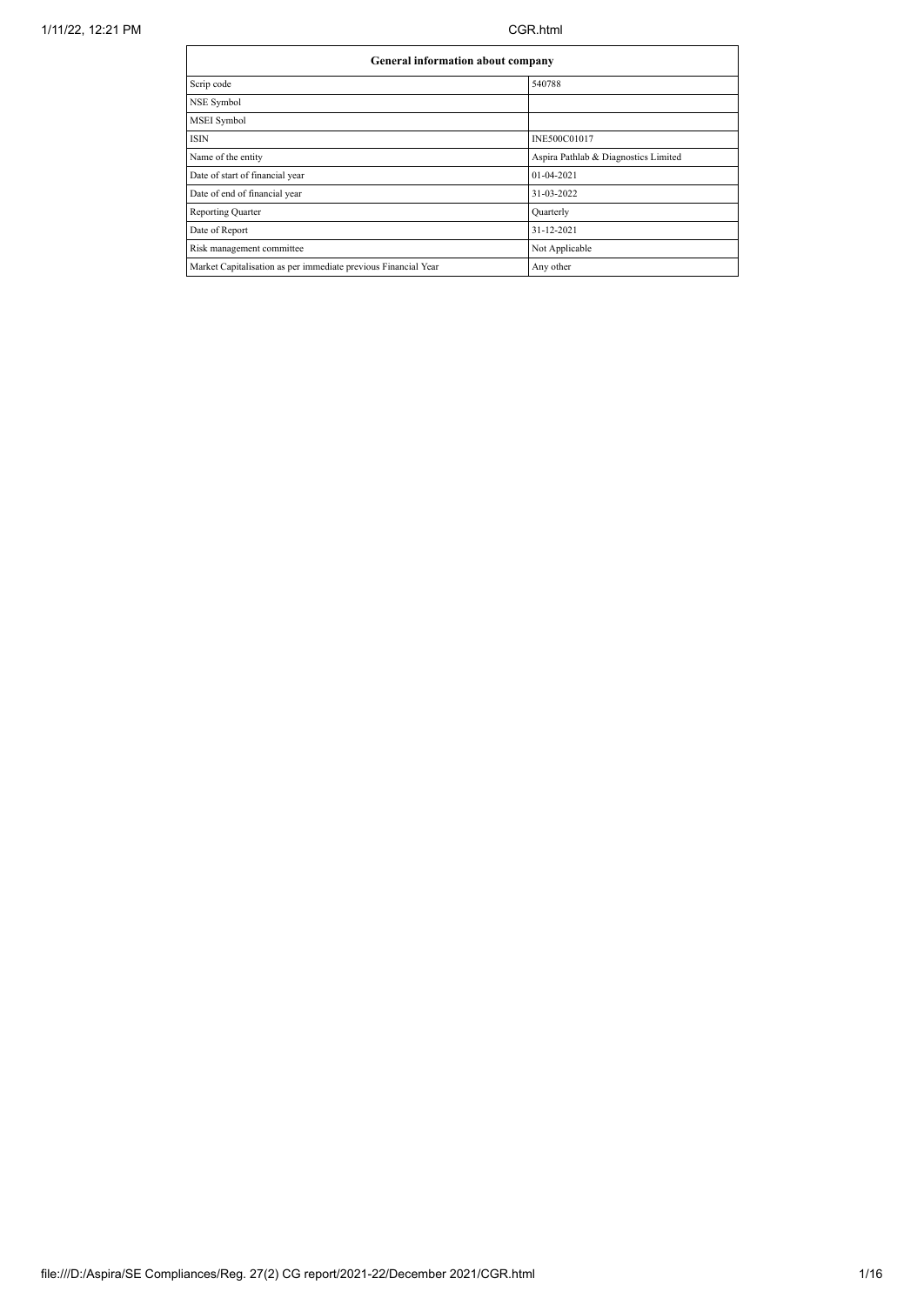| General information about company                              |                                      |  |  |  |  |  |
|----------------------------------------------------------------|--------------------------------------|--|--|--|--|--|
| Scrip code                                                     | 540788                               |  |  |  |  |  |
| NSE Symbol                                                     |                                      |  |  |  |  |  |
| MSEI Symbol                                                    |                                      |  |  |  |  |  |
| ISIN                                                           | INE500C01017                         |  |  |  |  |  |
| Name of the entity                                             | Aspira Pathlab & Diagnostics Limited |  |  |  |  |  |
| Date of start of financial year                                | 01-04-2021                           |  |  |  |  |  |
| Date of end of financial year                                  | 31-03-2022                           |  |  |  |  |  |
| Reporting Quarter                                              | Quarterly                            |  |  |  |  |  |
| Date of Report                                                 | 31-12-2021                           |  |  |  |  |  |
| Risk management committee                                      | Not Applicable                       |  |  |  |  |  |
| Market Capitalisation as per immediate previous Financial Year | Any other                            |  |  |  |  |  |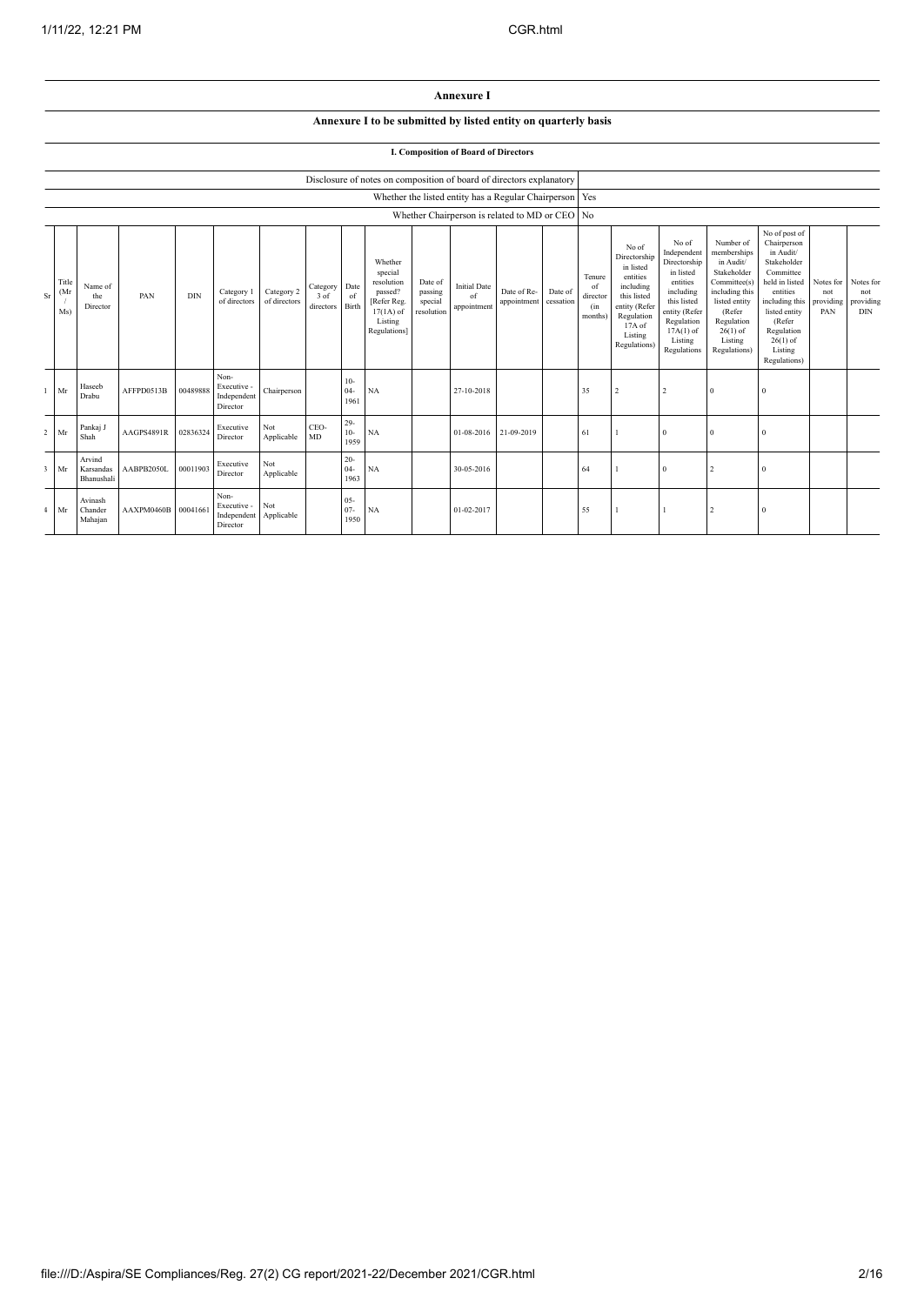## **Annexure I**

# **Annexure I to be submitted by listed entity on quarterly basis**

|                | I. Composition of Board of Directors |                                   |                     |          |                                                |                            |                               |                          |                                                                                                      |                                             |                                                         |                            |                      |                                            |                                                                                                                                                |                                                                                                                                                                   |                                                                                                                                                                          |                                                                                                                                                                                                         |                                      |                                             |
|----------------|--------------------------------------|-----------------------------------|---------------------|----------|------------------------------------------------|----------------------------|-------------------------------|--------------------------|------------------------------------------------------------------------------------------------------|---------------------------------------------|---------------------------------------------------------|----------------------------|----------------------|--------------------------------------------|------------------------------------------------------------------------------------------------------------------------------------------------|-------------------------------------------------------------------------------------------------------------------------------------------------------------------|--------------------------------------------------------------------------------------------------------------------------------------------------------------------------|---------------------------------------------------------------------------------------------------------------------------------------------------------------------------------------------------------|--------------------------------------|---------------------------------------------|
|                |                                      |                                   |                     |          |                                                |                            |                               |                          | Disclosure of notes on composition of board of directors explanatory                                 |                                             |                                                         |                            |                      |                                            |                                                                                                                                                |                                                                                                                                                                   |                                                                                                                                                                          |                                                                                                                                                                                                         |                                      |                                             |
|                |                                      |                                   |                     |          |                                                |                            |                               |                          |                                                                                                      |                                             | Whether the listed entity has a Regular Chairperson Yes |                            |                      |                                            |                                                                                                                                                |                                                                                                                                                                   |                                                                                                                                                                          |                                                                                                                                                                                                         |                                      |                                             |
|                |                                      |                                   |                     |          |                                                |                            |                               |                          |                                                                                                      |                                             | Whether Chairperson is related to MD or CEO No          |                            |                      |                                            |                                                                                                                                                |                                                                                                                                                                   |                                                                                                                                                                          |                                                                                                                                                                                                         |                                      |                                             |
| Sr.            | Title<br>(Mr)<br>Ms)                 | Name of<br>the<br>Director        | PAN                 | DIN      | Category 1<br>of directors                     | Category 2<br>of directors | Category<br>3 of<br>directors | Date<br>of<br>Birth      | Whether<br>special<br>resolution<br>passed?<br>[Refer Reg.<br>$17(1A)$ of<br>Listing<br>Regulations] | Date of<br>passing<br>special<br>resolution | <b>Initial Date</b><br>of<br>appointment                | Date of Re-<br>appointment | Date of<br>cessation | Tenure<br>of<br>director<br>(in<br>months) | No of<br>Directorship<br>in listed<br>entities<br>including<br>this listed<br>entity (Refer<br>Regulation<br>17A of<br>Listing<br>Regulations) | No of<br>Independent<br>Directorship<br>in listed<br>entities<br>including<br>this listed<br>entity (Refer<br>Regulation<br>$17A(1)$ of<br>Listing<br>Regulations | Number of<br>memberships<br>in Audit/<br>Stakeholder<br>Committee(s)<br>including this<br>listed entity<br>(Refer<br>Regulation<br>$26(1)$ of<br>Listing<br>Regulations) | No of post of<br>Chairperson<br>in Audit/<br>Stakeholder<br>Committee<br>held in listed<br>entities<br>including this<br>listed entity<br>(Refer<br>Regulation<br>$26(1)$ of<br>Listing<br>Regulations) | Notes for<br>not<br>providing<br>PAN | Notes for<br>not<br>providing<br><b>DIN</b> |
|                | Mr                                   | Haseeb<br>Drabu                   | AFFPD0513B          | 00489888 | Non-<br>Executive -<br>Independent<br>Director | Chairperson                |                               | $10-$<br>$04 -$<br>1961  | NA                                                                                                   |                                             | 27-10-2018                                              |                            |                      | 35                                         | $\overline{2}$                                                                                                                                 |                                                                                                                                                                   | $\mathbf{0}$                                                                                                                                                             | $\Omega$                                                                                                                                                                                                |                                      |                                             |
| $\overline{2}$ | Mr                                   | Pankaj J<br>Shah                  | AAGPS4891R          | 02836324 | Executive<br>Director                          | Not<br>Applicable          | CEO-<br>MD                    | $29-$<br>$10-$<br>1959   | NA                                                                                                   |                                             | 01-08-2016                                              | 21-09-2019                 |                      | 61                                         |                                                                                                                                                |                                                                                                                                                                   | $\mathbf{0}$                                                                                                                                                             | $\Omega$                                                                                                                                                                                                |                                      |                                             |
| R              | Mr                                   | Arvind<br>Karsandas<br>Bhanushali | AABPB2050L          | 00011903 | Executive<br>Director                          | Not<br>Applicable          |                               | $20 -$<br>$04 -$<br>1963 | NA                                                                                                   |                                             | 30-05-2016                                              |                            |                      | 64                                         |                                                                                                                                                |                                                                                                                                                                   | $\overline{2}$                                                                                                                                                           | $\Omega$                                                                                                                                                                                                |                                      |                                             |
|                | Mr                                   | Avinash<br>Chander<br>Mahajan     | AAXPM0460B 00041661 |          | Non-<br>Executive -<br>Independent<br>Director | Not<br>Applicable          |                               | $05 -$<br>$07 -$<br>1950 | NA                                                                                                   |                                             | 01-02-2017                                              |                            |                      | 55                                         |                                                                                                                                                |                                                                                                                                                                   | $\overline{\mathcal{L}}$                                                                                                                                                 | $\Omega$                                                                                                                                                                                                |                                      |                                             |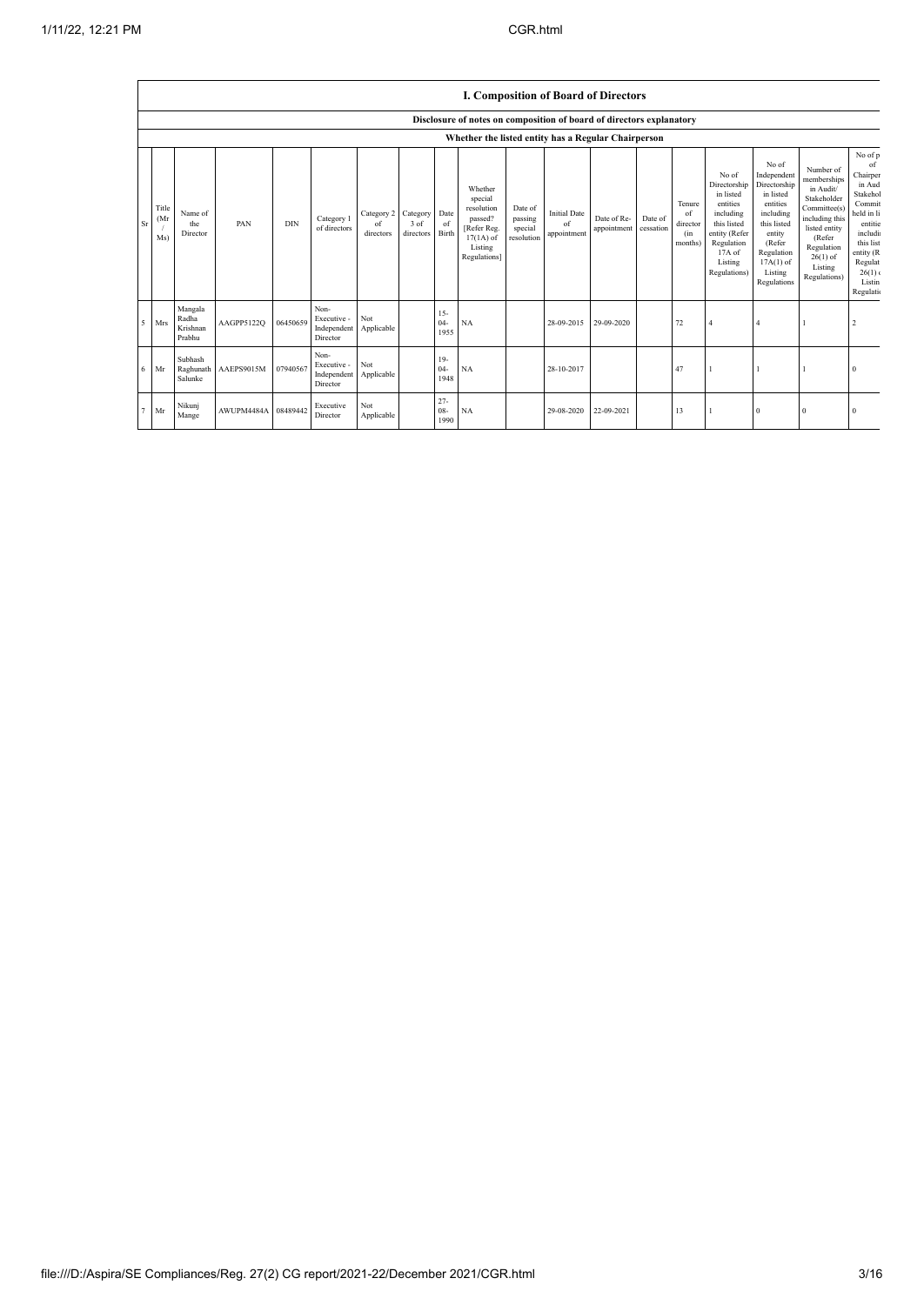|           | I. Composition of Board of Directors |                                        |                     |            |                                                |                                        |                              |                          |                                                                                                      |                                             |                                                  |                            |                      |                                            |                                                                                                                                                |                                                                                                                                                                      |                                                                                                                                                                          |                                                                                                                                                                    |
|-----------|--------------------------------------|----------------------------------------|---------------------|------------|------------------------------------------------|----------------------------------------|------------------------------|--------------------------|------------------------------------------------------------------------------------------------------|---------------------------------------------|--------------------------------------------------|----------------------------|----------------------|--------------------------------------------|------------------------------------------------------------------------------------------------------------------------------------------------|----------------------------------------------------------------------------------------------------------------------------------------------------------------------|--------------------------------------------------------------------------------------------------------------------------------------------------------------------------|--------------------------------------------------------------------------------------------------------------------------------------------------------------------|
|           |                                      |                                        |                     |            |                                                |                                        |                              |                          | Disclosure of notes on composition of board of directors explanatory                                 |                                             |                                                  |                            |                      |                                            |                                                                                                                                                |                                                                                                                                                                      |                                                                                                                                                                          |                                                                                                                                                                    |
|           |                                      |                                        |                     |            |                                                |                                        |                              |                          | Whether the listed entity has a Regular Chairperson                                                  |                                             |                                                  |                            |                      |                                            |                                                                                                                                                |                                                                                                                                                                      |                                                                                                                                                                          |                                                                                                                                                                    |
| <b>Sr</b> | Title<br>(Mr)<br>Ms)                 | Name of<br>the<br>Director             | PAN                 | <b>DIN</b> | Category 1<br>of directors                     | Category 2 Category<br>of<br>directors | 3 <sub>of</sub><br>directors | Date<br>of<br>Birth      | Whether<br>special<br>resolution<br>passed?<br>[Refer Reg.<br>$17(1A)$ of<br>Listing<br>Regulations] | Date of<br>passing<br>special<br>resolution | <b>Initial Date</b><br>$\sigma$ f<br>appointment | Date of Re-<br>appointment | Date of<br>cessation | Tenure<br>of<br>director<br>(in<br>months) | No of<br>Directorship<br>in listed<br>entities<br>including<br>this listed<br>entity (Refer<br>Regulation<br>17A of<br>Listing<br>Regulations) | No of<br>Independent<br>Directorship<br>in listed<br>entities<br>including<br>this listed<br>entity<br>(Refer<br>Regulation<br>$17A(1)$ of<br>Listing<br>Regulations | Number of<br>memberships<br>in Audit/<br>Stakeholder<br>Committee(s)<br>including this<br>listed entity<br>(Refer<br>Regulation<br>$26(1)$ of<br>Listing<br>Regulations) | No of p<br>of<br>Chairper<br>in Aud<br>Stakehol<br>Commit<br>held in li<br>entitie<br>includi<br>this list<br>entity (R<br>Regulat<br>26(1)<br>Listin<br>Regulatio |
| 5         | Mrs                                  | Mangala<br>Radha<br>Krishnan<br>Prabhu | AAGPP5122Q          | 06450659   | Non-<br>Executive -<br>Independent<br>Director | Not<br>Applicable                      |                              | $15 -$<br>$04 -$<br>1955 | <b>NA</b>                                                                                            |                                             | 28-09-2015                                       | 29-09-2020                 |                      | 72                                         | $\overline{4}$                                                                                                                                 | $\overline{4}$                                                                                                                                                       |                                                                                                                                                                          | $\overline{2}$                                                                                                                                                     |
| 6         | Mr                                   | Subhash<br>Raghunath<br>Salunke        | AAEPS9015M          | 07940567   | Non-<br>Executive -<br>Independent<br>Director | Not<br>Applicable                      |                              | $19-$<br>$04 -$<br>1948  | NA                                                                                                   |                                             | 28-10-2017                                       |                            |                      | 47                                         |                                                                                                                                                |                                                                                                                                                                      |                                                                                                                                                                          | $\theta$                                                                                                                                                           |
|           | Mr                                   | Nikunj<br>Mange                        | AWUPM4484A 08489442 |            | Executive<br>Director                          | Not<br>Applicable                      |                              | $27 -$<br>$08 -$<br>1990 | <b>NA</b>                                                                                            |                                             | 29-08-2020                                       | 22-09-2021                 |                      | 13                                         |                                                                                                                                                | $\mathbf{0}$                                                                                                                                                         | $\theta$                                                                                                                                                                 | O                                                                                                                                                                  |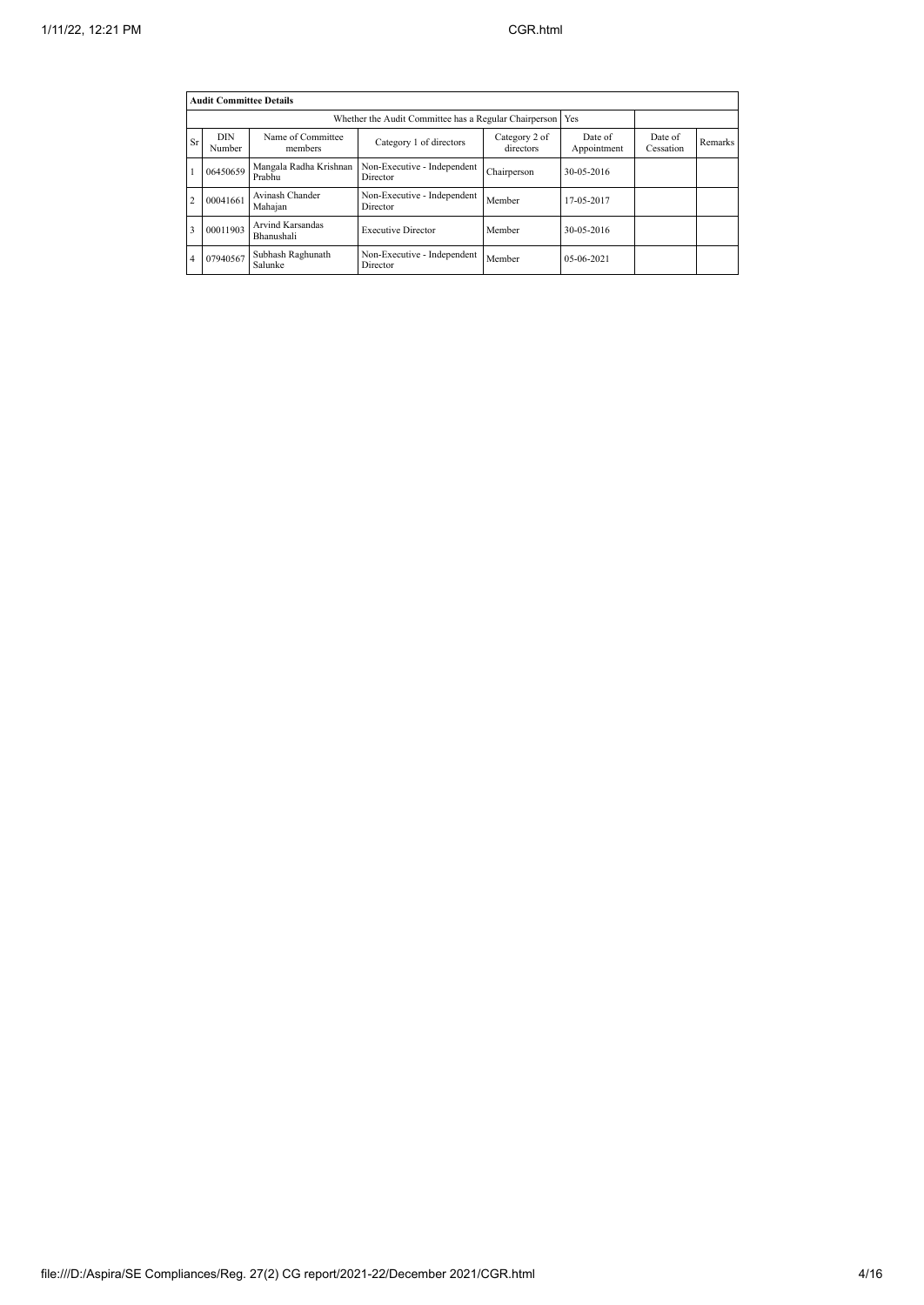| <b>Audit Committee Details</b> |                      |                                                             |                                         |                            |                        |                      |         |  |  |
|--------------------------------|----------------------|-------------------------------------------------------------|-----------------------------------------|----------------------------|------------------------|----------------------|---------|--|--|
|                                |                      | Whether the Audit Committee has a Regular Chairperson   Yes |                                         |                            |                        |                      |         |  |  |
| Sr                             | <b>DIN</b><br>Number | Name of Committee<br>members                                | Category 1 of directors                 | Category 2 of<br>directors | Date of<br>Appointment | Date of<br>Cessation | Remarks |  |  |
|                                | 06450659             | Mangala Radha Krishnan<br>Prabhu                            | Non-Executive - Independent<br>Director | Chairperson                | 30-05-2016             |                      |         |  |  |
| $\overline{2}$                 | 00041661             | Avinash Chander<br>Mahajan                                  | Non-Executive - Independent<br>Director | Member                     | 17-05-2017             |                      |         |  |  |
| 3                              | 00011903             | <b>Arvind Karsandas</b><br>Bhanushali                       | <b>Executive Director</b>               | Member                     | 30-05-2016             |                      |         |  |  |
| 4                              | 07940567             | Subhash Raghunath<br>Salunke                                | Non-Executive - Independent<br>Director | Member                     | 05-06-2021             |                      |         |  |  |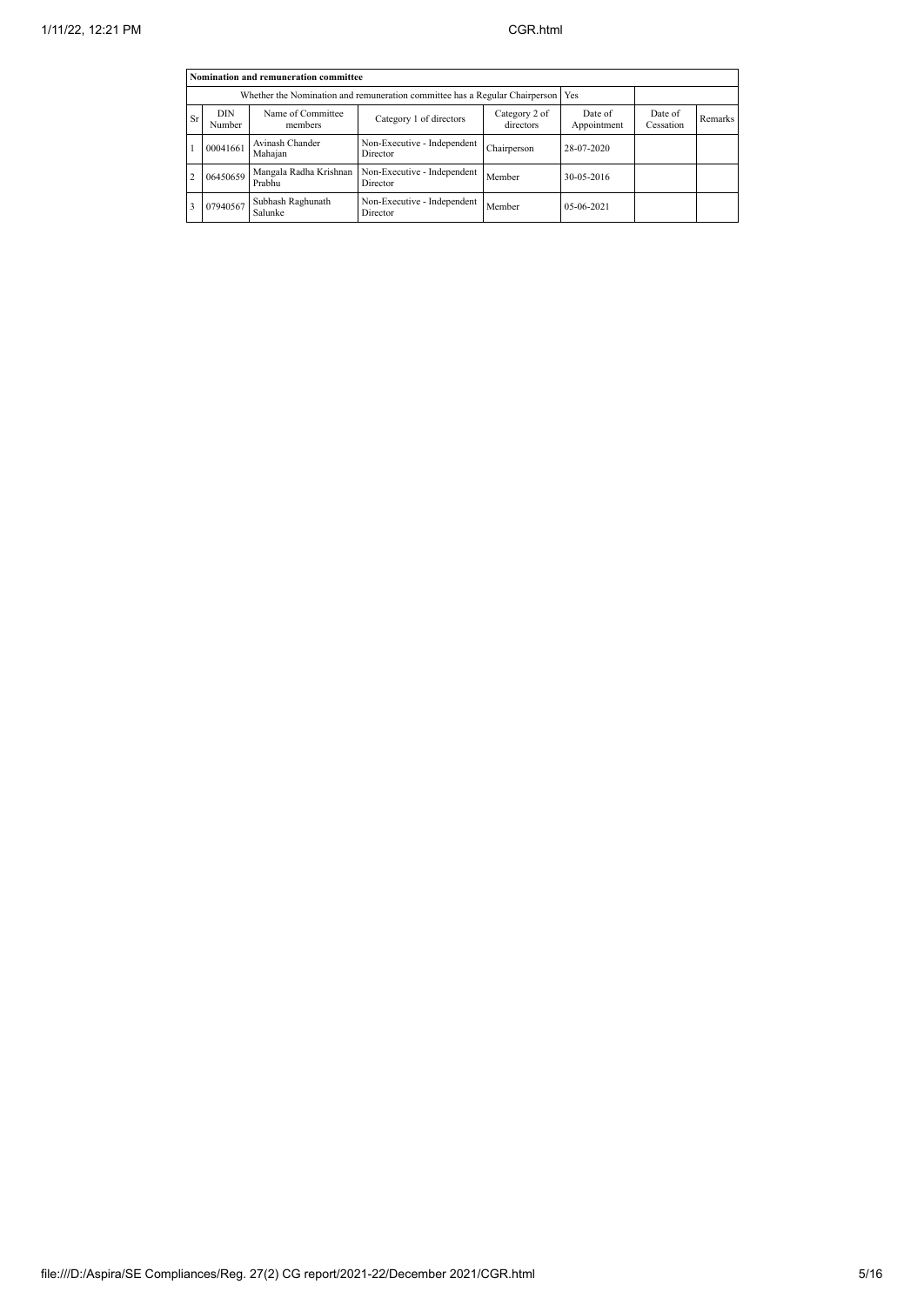| Nomination and remuneration committee |                                                                             |                                  |                                         |                            |                        |                      |                      |  |
|---------------------------------------|-----------------------------------------------------------------------------|----------------------------------|-----------------------------------------|----------------------------|------------------------|----------------------|----------------------|--|
|                                       | Whether the Nomination and remuneration committee has a Regular Chairperson | Yes                              |                                         |                            |                        |                      |                      |  |
| Sr                                    | <b>DIN</b><br>Number                                                        | Name of Committee<br>members     | Category 1 of directors                 | Category 2 of<br>directors | Date of<br>Appointment | Date of<br>Cessation | Remarks <sup>1</sup> |  |
|                                       | 00041661                                                                    | Avinash Chander<br>Mahaian       | Non-Executive - Independent<br>Director | Chairperson                | 28-07-2020             |                      |                      |  |
| $\overline{c}$                        | 06450659                                                                    | Mangala Radha Krishnan<br>Prabhu | Non-Executive - Independent<br>Director | Member                     | 30-05-2016             |                      |                      |  |
| 3                                     | 07940567                                                                    |                                  |                                         |                            |                        |                      |                      |  |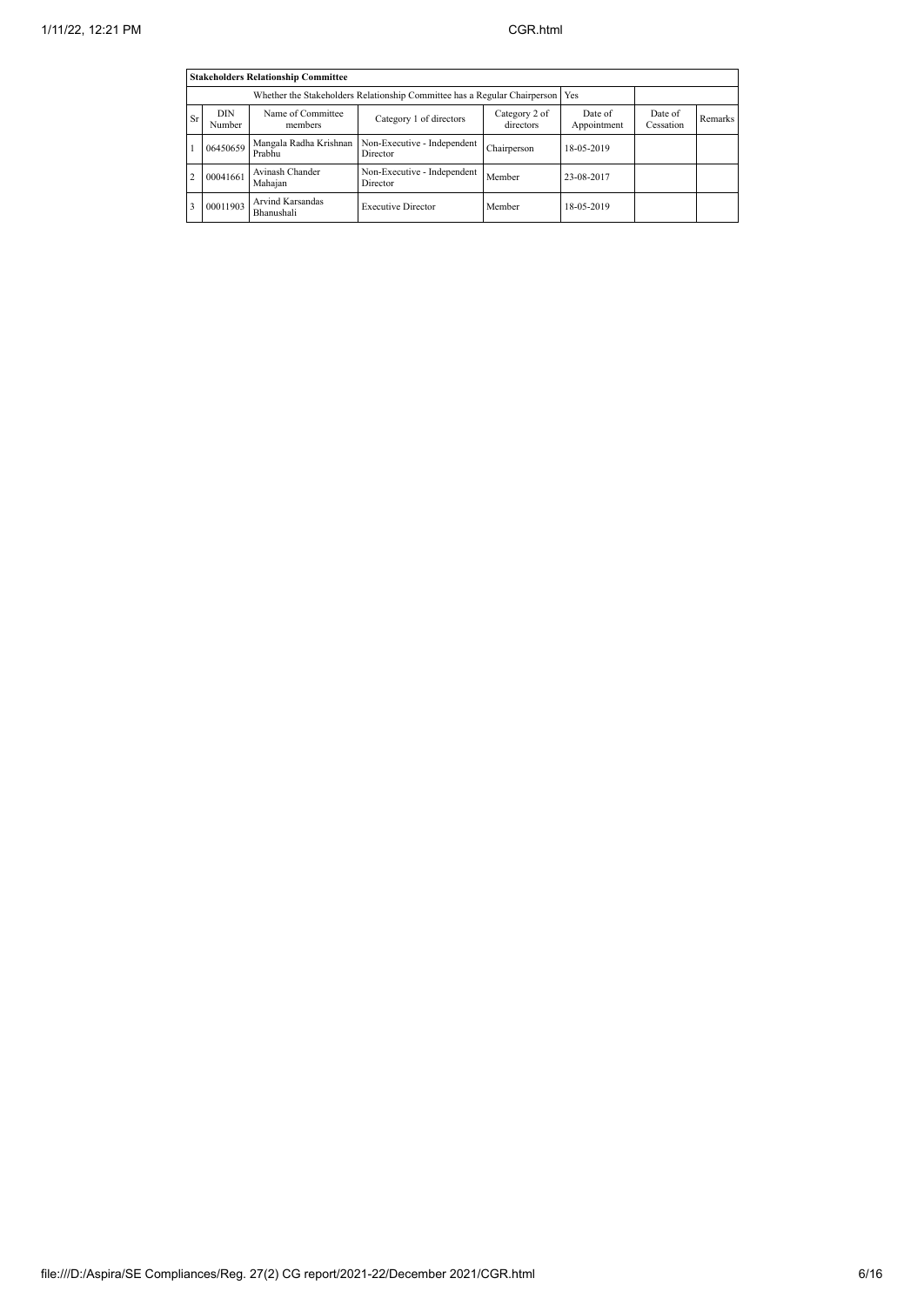| <b>Stakeholders Relationship Committee</b> |                      |                                  |                                         |                            |                        |                      |                |  |
|--------------------------------------------|----------------------|----------------------------------|-----------------------------------------|----------------------------|------------------------|----------------------|----------------|--|
|                                            |                      | Yes                              |                                         |                            |                        |                      |                |  |
| Sr                                         | <b>DIN</b><br>Number | Name of Committee<br>members     | Category 1 of directors                 | Category 2 of<br>directors | Date of<br>Appointment | Date of<br>Cessation | <b>Remarks</b> |  |
|                                            | 06450659             | Mangala Radha Krishnan<br>Prabhu | Non-Executive - Independent<br>Director | Chairperson                | 18-05-2019             |                      |                |  |
| $\overline{c}$                             | 00041661             | Avinash Chander<br>Mahajan       | Non-Executive - Independent<br>Director | Member                     | 23-08-2017             |                      |                |  |
| 3                                          | 00011903             |                                  |                                         |                            |                        |                      |                |  |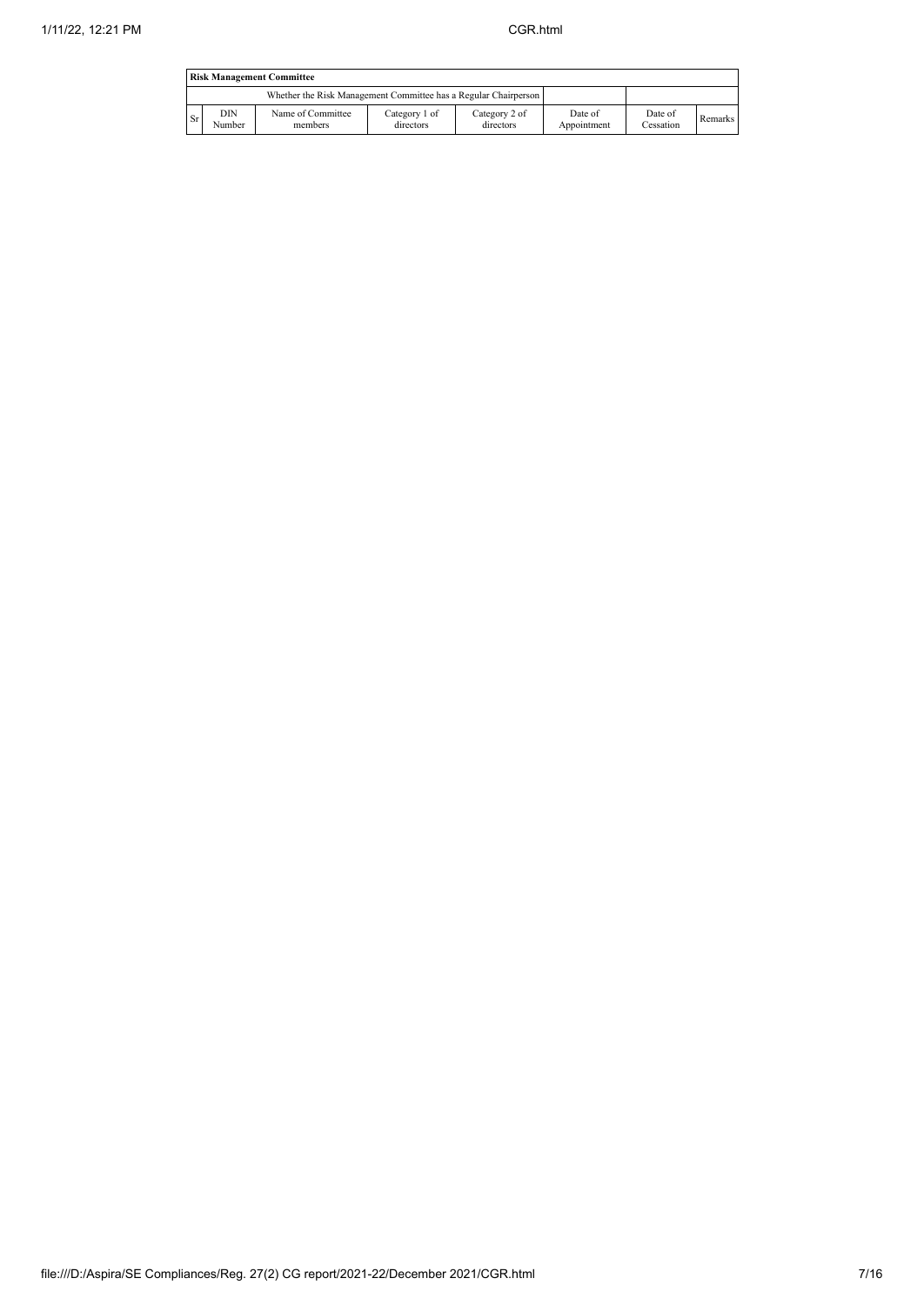| <b>Risk Management Committee</b> |                                                                 |                              |                            |                            |                        |                      |         |  |  |
|----------------------------------|-----------------------------------------------------------------|------------------------------|----------------------------|----------------------------|------------------------|----------------------|---------|--|--|
|                                  | Whether the Risk Management Committee has a Regular Chairperson |                              |                            |                            |                        |                      |         |  |  |
| l Sr                             | DIN<br>Number                                                   | Name of Committee<br>members | Category 1 of<br>directors | Category 2 of<br>directors | Date of<br>Appointment | Date of<br>Cessation | Remarks |  |  |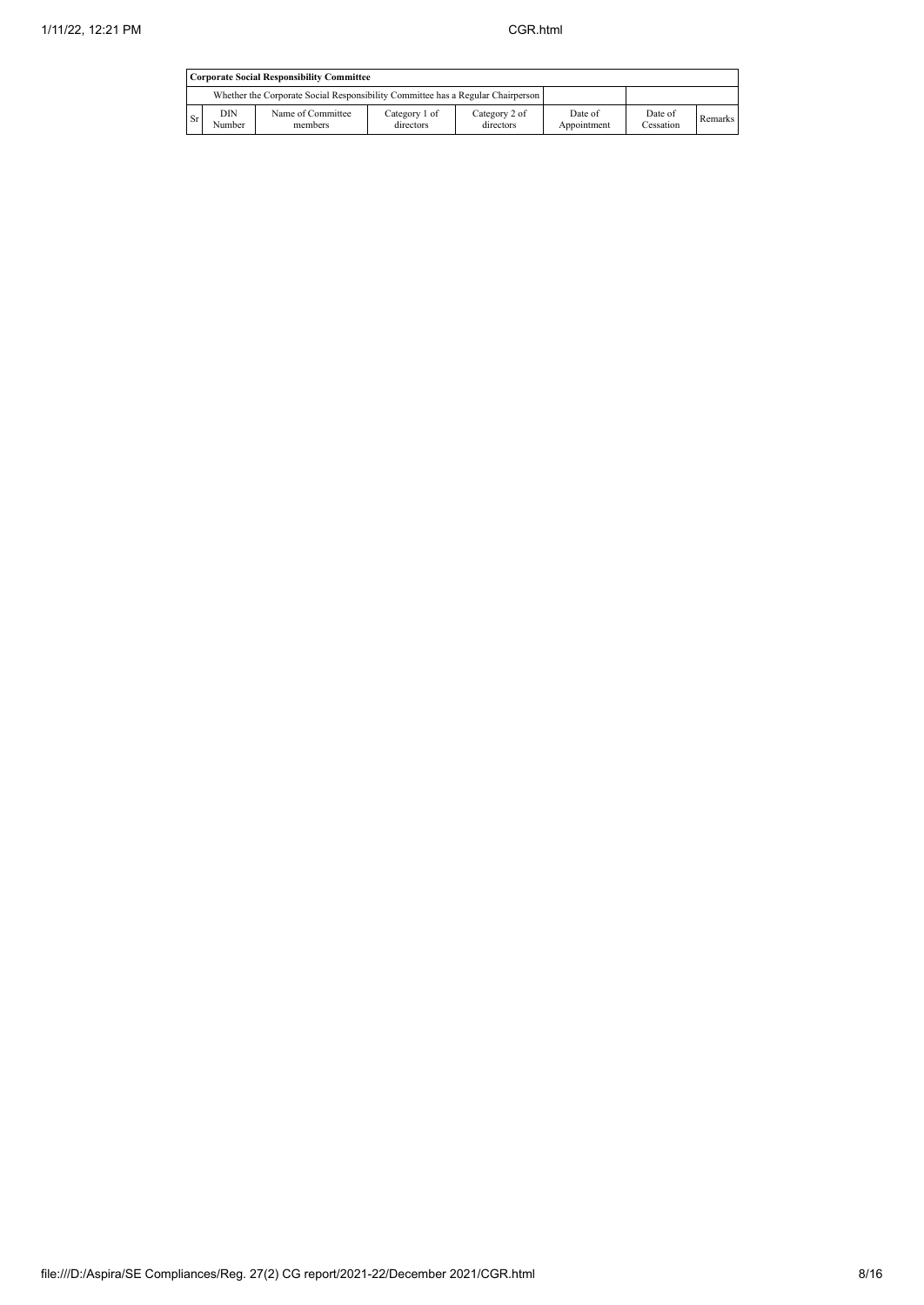|     | <b>Corporate Social Responsibility Committee</b>                                |                              |                            |                            |                        |                      |         |  |  |
|-----|---------------------------------------------------------------------------------|------------------------------|----------------------------|----------------------------|------------------------|----------------------|---------|--|--|
|     | Whether the Corporate Social Responsibility Committee has a Regular Chairperson |                              |                            |                            |                        |                      |         |  |  |
| Sr. | DIN<br>Number                                                                   | Name of Committee<br>members | Category 1 of<br>directors | Category 2 of<br>directors | Date of<br>Appointment | Date of<br>Cessation | Remarks |  |  |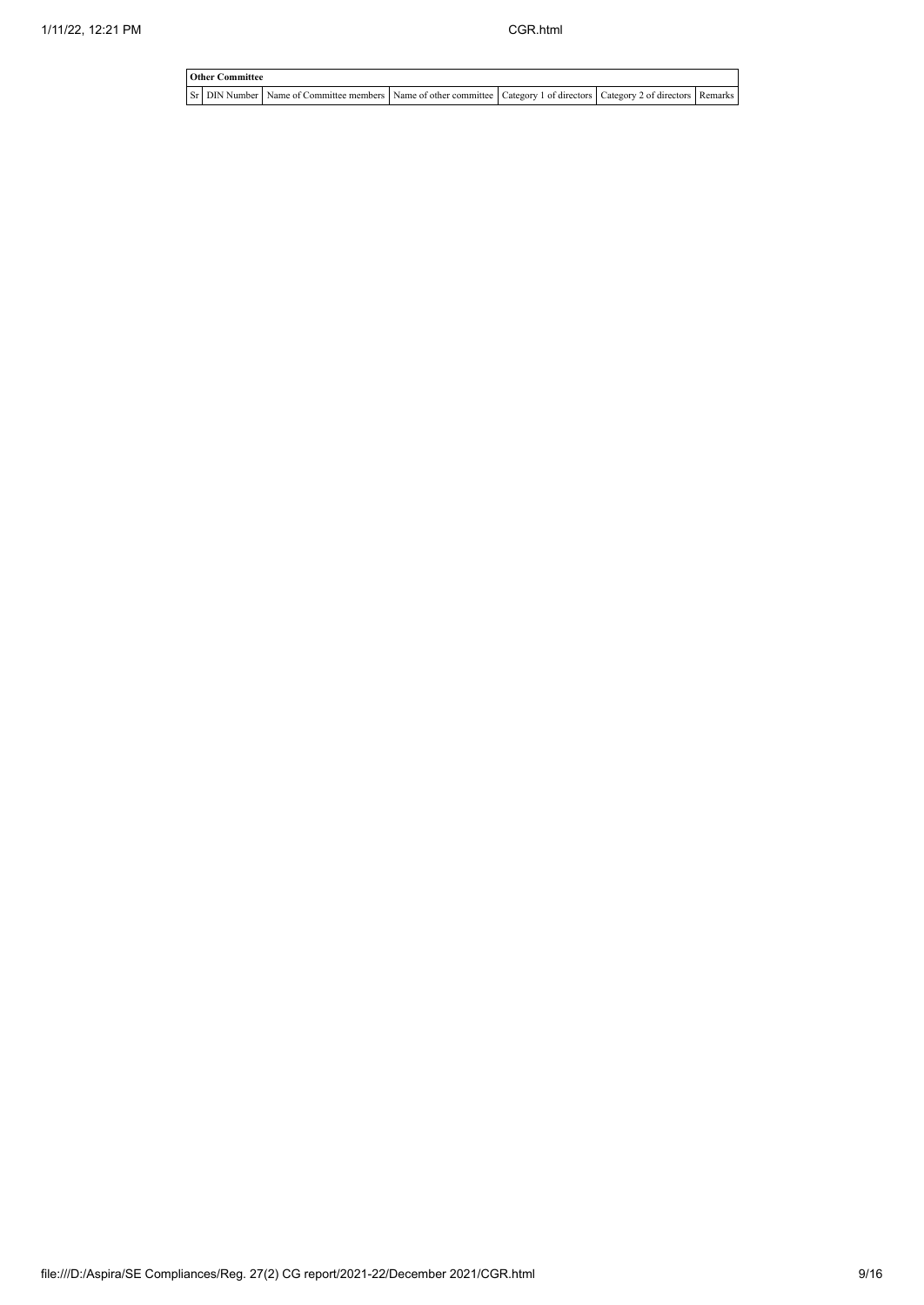| <b>Other Committee</b> |                                                                                                                         |  |  |
|------------------------|-------------------------------------------------------------------------------------------------------------------------|--|--|
|                        | Sr DIN Number Name of Committee members Name of other committee Category 1 of directors Category 2 of directors Remarks |  |  |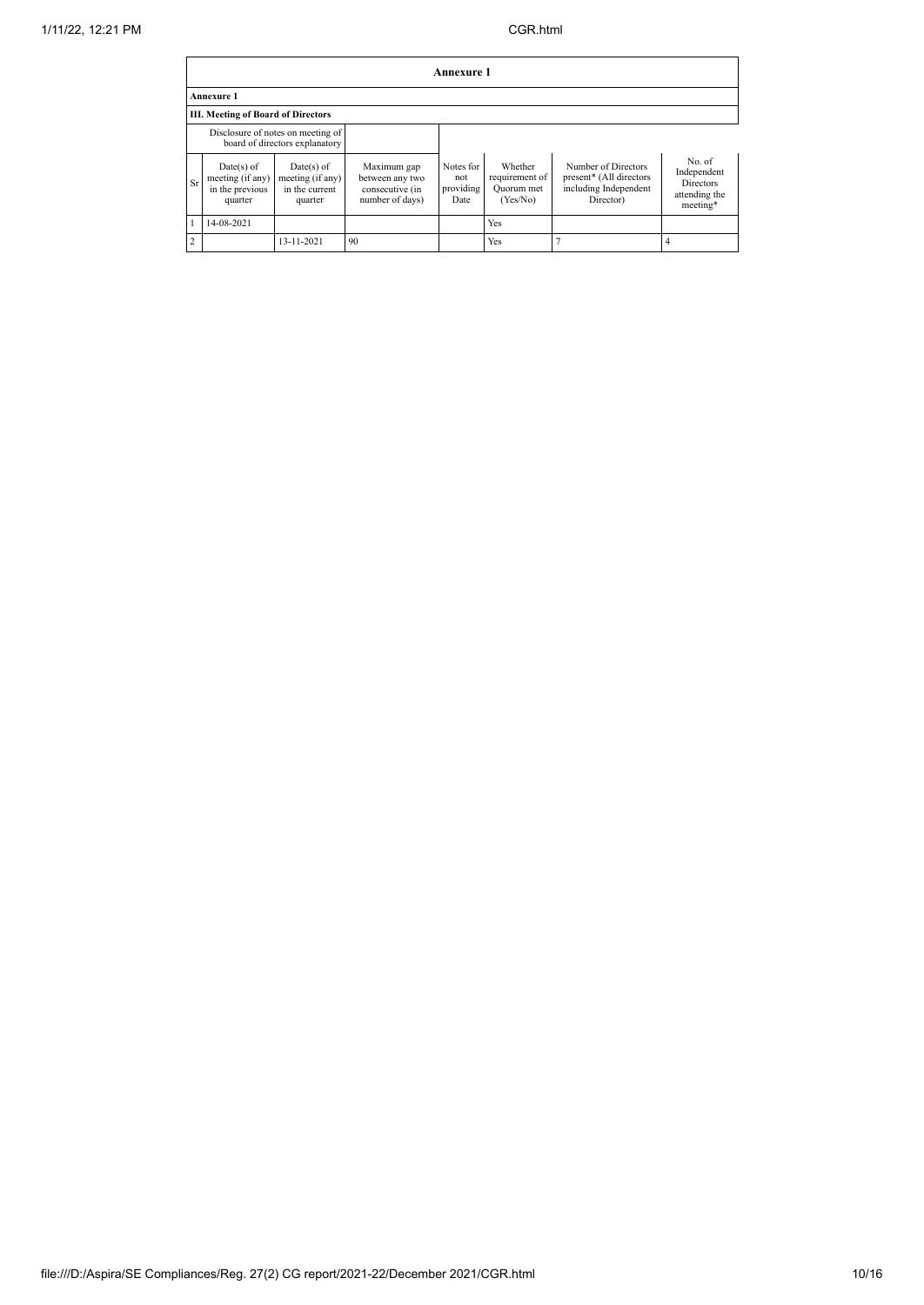|    | Annexure 1                                                          |                                                               |                                                                      |                                       |                                                     |                                                                                      |                                                                        |  |  |  |
|----|---------------------------------------------------------------------|---------------------------------------------------------------|----------------------------------------------------------------------|---------------------------------------|-----------------------------------------------------|--------------------------------------------------------------------------------------|------------------------------------------------------------------------|--|--|--|
|    | <b>Annexure 1</b>                                                   |                                                               |                                                                      |                                       |                                                     |                                                                                      |                                                                        |  |  |  |
|    | <b>III. Meeting of Board of Directors</b>                           |                                                               |                                                                      |                                       |                                                     |                                                                                      |                                                                        |  |  |  |
|    | Disclosure of notes on meeting of<br>board of directors explanatory |                                                               |                                                                      |                                       |                                                     |                                                                                      |                                                                        |  |  |  |
| Sr | $Date(s)$ of<br>meeting (if any)<br>in the previous<br>quarter      | $Date(s)$ of<br>meeting (if any)<br>in the current<br>quarter | Maximum gap<br>between any two<br>consecutive (in<br>number of days) | Notes for<br>not<br>providing<br>Date | Whether<br>requirement of<br>Quorum met<br>(Yes/No) | Number of Directors<br>present* (All directors<br>including Independent<br>Director) | No. of<br>Independent<br><b>Directors</b><br>attending the<br>meeting* |  |  |  |
|    | 14-08-2021                                                          |                                                               |                                                                      |                                       | Yes                                                 |                                                                                      |                                                                        |  |  |  |
| 2  |                                                                     | 13-11-2021                                                    | 90                                                                   |                                       | Yes                                                 |                                                                                      |                                                                        |  |  |  |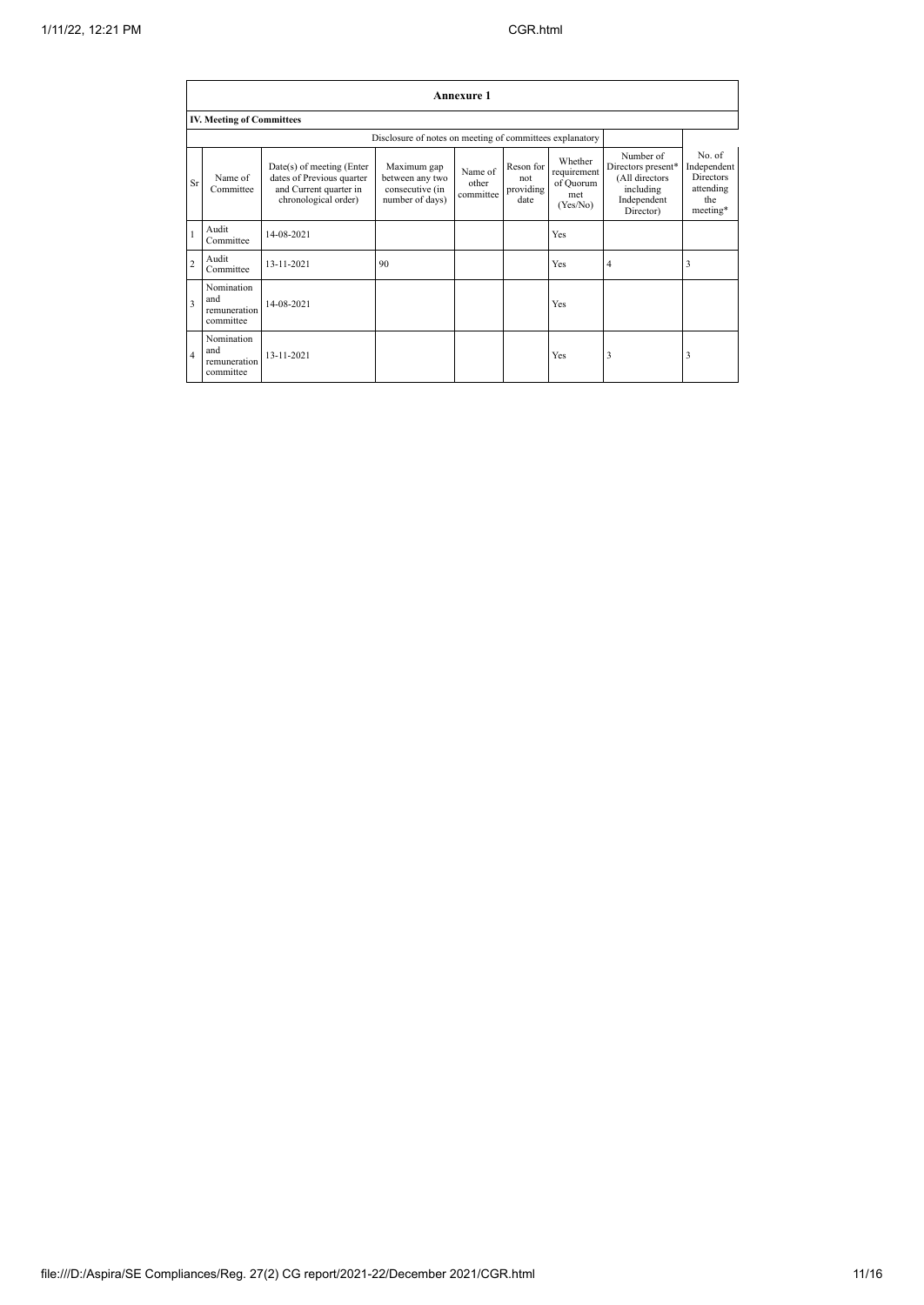|                         | Annexure 1                                     |                                                                                                          |                                                                      |                               |                                       |                                                        |                                                                                            |                                                                           |  |
|-------------------------|------------------------------------------------|----------------------------------------------------------------------------------------------------------|----------------------------------------------------------------------|-------------------------------|---------------------------------------|--------------------------------------------------------|--------------------------------------------------------------------------------------------|---------------------------------------------------------------------------|--|
|                         | <b>IV. Meeting of Committees</b>               |                                                                                                          |                                                                      |                               |                                       |                                                        |                                                                                            |                                                                           |  |
|                         |                                                |                                                                                                          |                                                                      |                               |                                       |                                                        |                                                                                            |                                                                           |  |
| Sr                      | Name of<br>Committee                           | Date(s) of meeting (Enter<br>dates of Previous quarter<br>and Current quarter in<br>chronological order) | Maximum gap<br>between any two<br>consecutive (in<br>number of days) | Name of<br>other<br>committee | Reson for<br>not<br>providing<br>date | Whether<br>requirement<br>of Quorum<br>met<br>(Yes/No) | Number of<br>Directors present*<br>(All directors<br>including<br>Independent<br>Director) | No. of<br>Independent<br><b>Directors</b><br>attending<br>the<br>meeting* |  |
| $\mathbf{1}$            | Audit<br>Committee                             | 14-08-2021                                                                                               |                                                                      |                               |                                       | Yes                                                    |                                                                                            |                                                                           |  |
| $\overline{2}$          | Audit<br>Committee                             | 13-11-2021                                                                                               | 90                                                                   |                               |                                       | Yes                                                    | $\overline{4}$                                                                             | 3                                                                         |  |
| $\overline{\mathbf{3}}$ | Nomination<br>and<br>remuneration<br>committee | 14-08-2021                                                                                               |                                                                      |                               |                                       | Yes                                                    |                                                                                            |                                                                           |  |
| $\overline{4}$          | Nomination<br>and<br>remuneration<br>committee | 13-11-2021                                                                                               |                                                                      |                               |                                       | Yes                                                    | 3                                                                                          | 3                                                                         |  |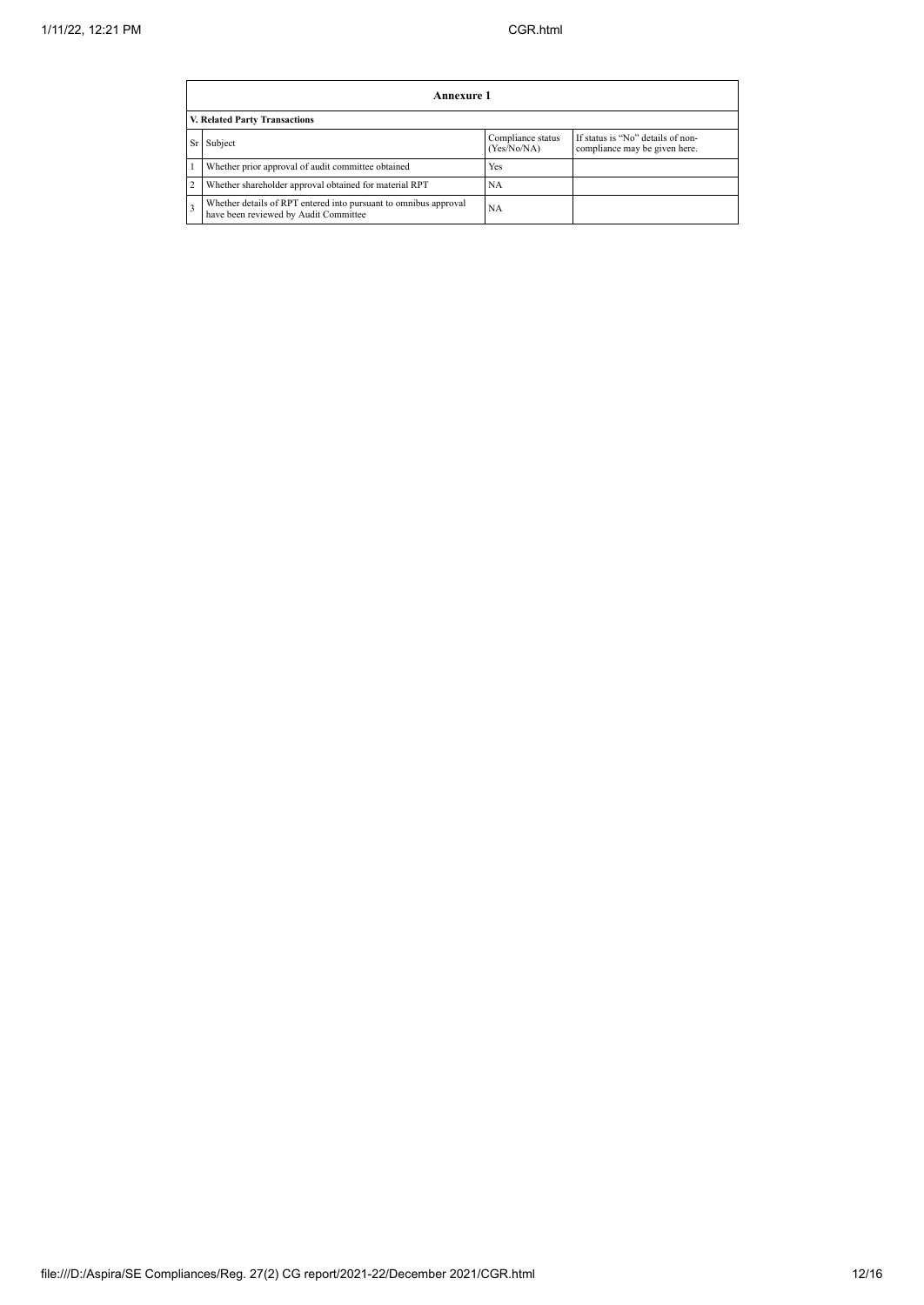|    | Annexure 1                                                                                                |                                  |                                                                    |  |  |  |  |  |
|----|-----------------------------------------------------------------------------------------------------------|----------------------------------|--------------------------------------------------------------------|--|--|--|--|--|
|    | V. Related Party Transactions                                                                             |                                  |                                                                    |  |  |  |  |  |
| Sr | Subject                                                                                                   | Compliance status<br>(Yes/No/NA) | If status is "No" details of non-<br>compliance may be given here. |  |  |  |  |  |
|    | Whether prior approval of audit committee obtained                                                        | Yes                              |                                                                    |  |  |  |  |  |
|    | Whether shareholder approval obtained for material RPT                                                    | NA                               |                                                                    |  |  |  |  |  |
|    | Whether details of RPT entered into pursuant to omnibus approval<br>have been reviewed by Audit Committee | <b>NA</b>                        |                                                                    |  |  |  |  |  |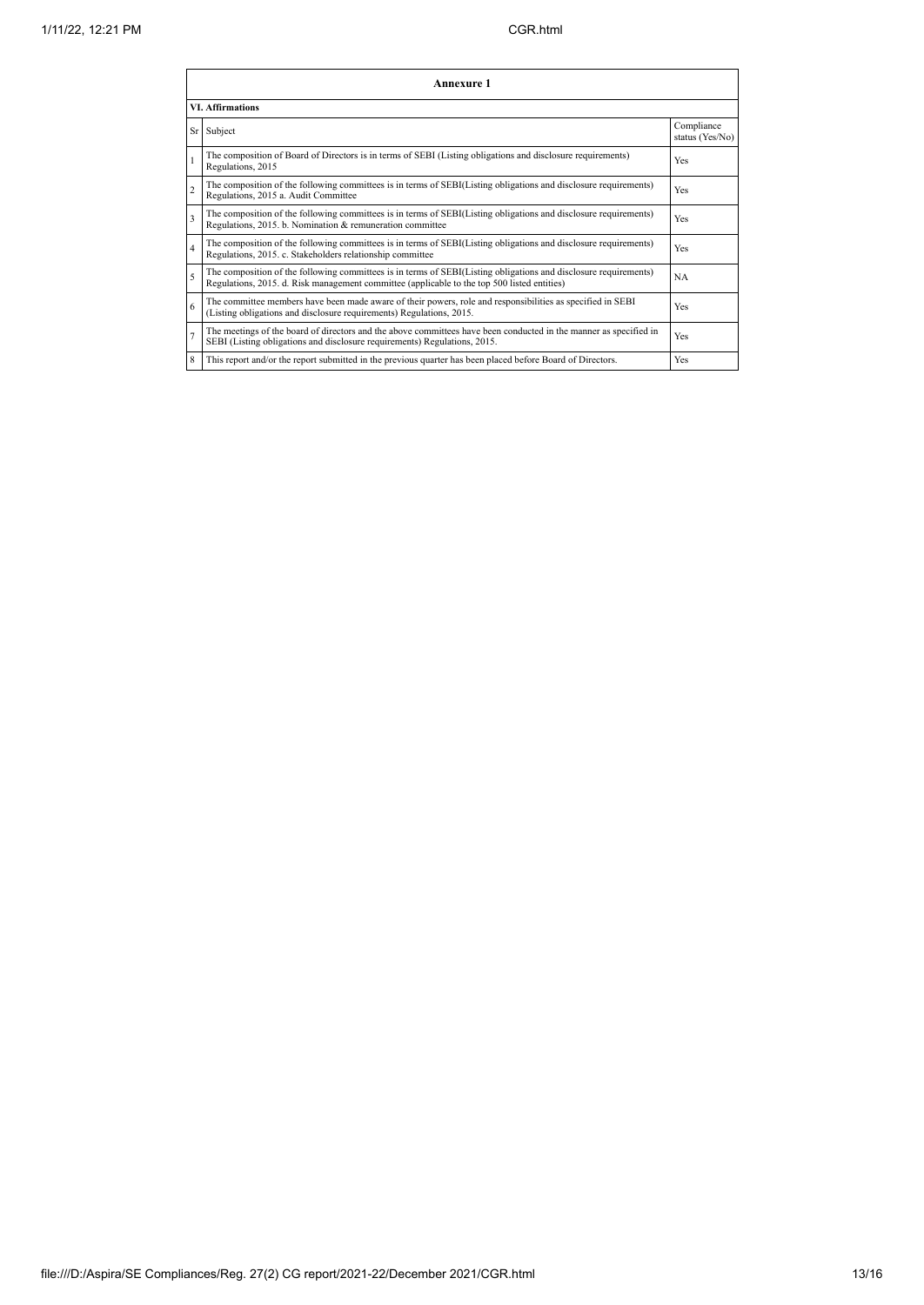|                         | Annexure 1                                                                                                                                                                                                      |                               |  |  |  |
|-------------------------|-----------------------------------------------------------------------------------------------------------------------------------------------------------------------------------------------------------------|-------------------------------|--|--|--|
| <b>VI.</b> Affirmations |                                                                                                                                                                                                                 |                               |  |  |  |
|                         | Sr Subject                                                                                                                                                                                                      | Compliance<br>status (Yes/No) |  |  |  |
|                         | The composition of Board of Directors is in terms of SEBI (Listing obligations and disclosure requirements)<br>Regulations, 2015                                                                                | Yes                           |  |  |  |
| $\overline{c}$          | The composition of the following committees is in terms of SEBI(Listing obligations and disclosure requirements)<br>Regulations, 2015 a. Audit Committee                                                        | Yes                           |  |  |  |
| $\overline{\mathbf{3}}$ | The composition of the following committees is in terms of SEBI(Listing obligations and disclosure requirements)<br>Regulations, 2015. b. Nomination & remuneration committee                                   | Yes                           |  |  |  |
| $\overline{4}$          | The composition of the following committees is in terms of SEBI(Listing obligations and disclosure requirements)<br>Regulations, 2015. c. Stakeholders relationship committee                                   | Yes                           |  |  |  |
| $\overline{\mathbf{S}}$ | The composition of the following committees is in terms of SEBI(Listing obligations and disclosure requirements)<br>Regulations, 2015. d. Risk management committee (applicable to the top 500 listed entities) | NA                            |  |  |  |
| 6                       | The committee members have been made aware of their powers, role and responsibilities as specified in SEBI<br>(Listing obligations and disclosure requirements) Regulations, 2015.                              | Yes                           |  |  |  |
|                         | The meetings of the board of directors and the above committees have been conducted in the manner as specified in<br>SEBI (Listing obligations and disclosure requirements) Regulations, 2015.                  | Yes                           |  |  |  |
| 8                       | This report and/or the report submitted in the previous quarter has been placed before Board of Directors.                                                                                                      | Yes                           |  |  |  |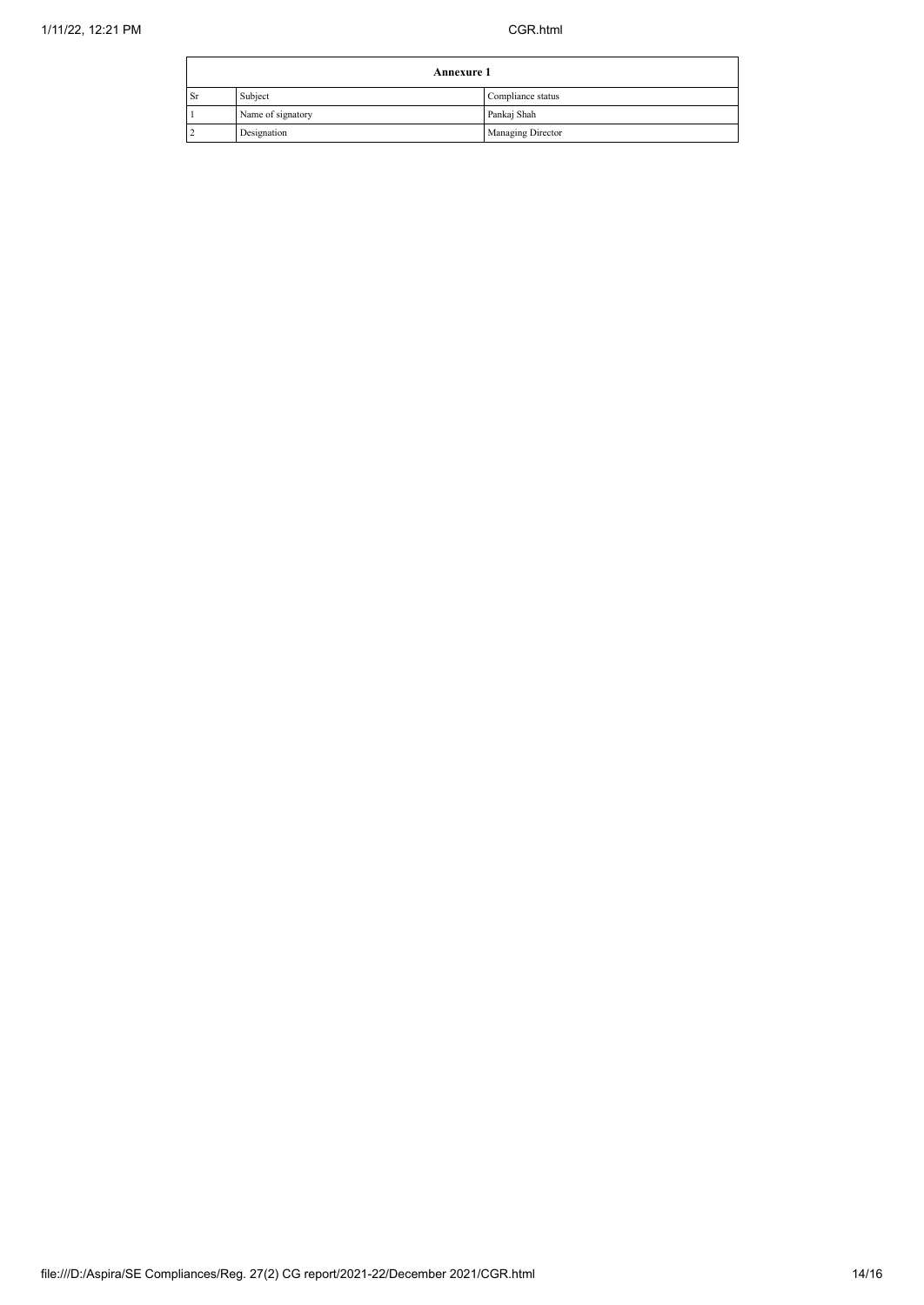|    | <b>Annexure 1</b> |                   |  |
|----|-------------------|-------------------|--|
| Sr | Subject           | Compliance status |  |
|    | Name of signatory | Pankaj Shah       |  |
|    | Designation       | Managing Director |  |